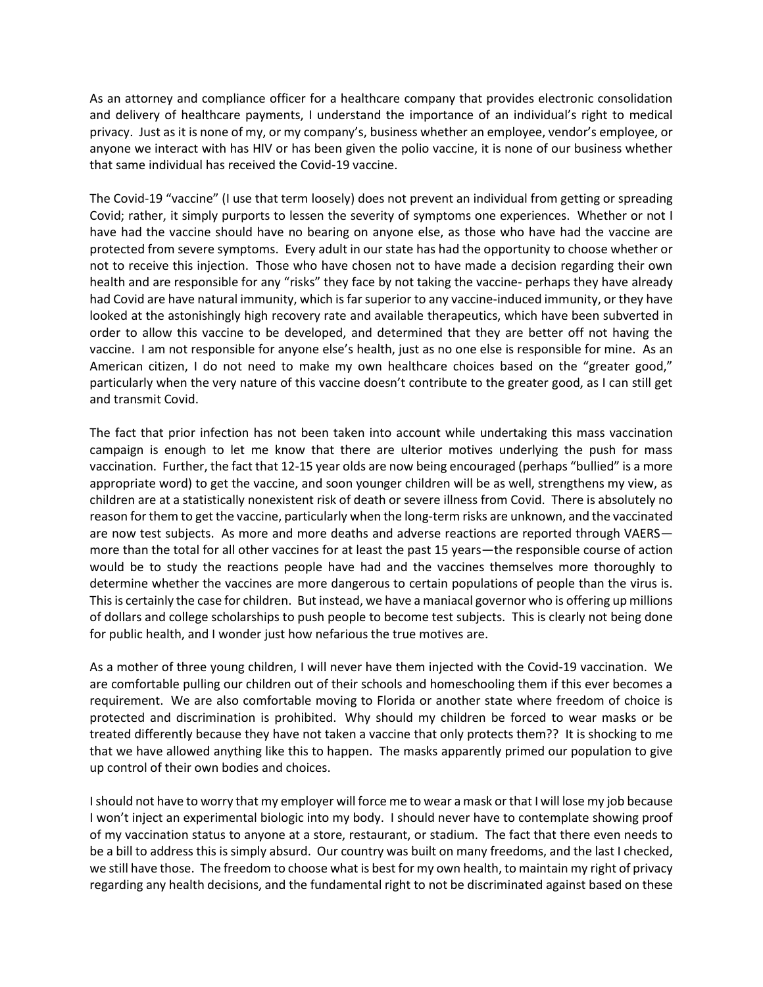As an attorney and compliance officer for a healthcare company that provides electronic consolidation and delivery of healthcare payments, I understand the importance of an individual's right to medical privacy. Just as it is none of my, or my company's, business whether an employee, vendor's employee, or anyone we interact with has HIV or has been given the polio vaccine, it is none of our business whether that same individual has received the Covid-19 vaccine.

The Covid-19 "vaccine" (I use that term loosely) does not prevent an individual from getting or spreading Covid; rather, it simply purports to lessen the severity of symptoms one experiences. Whether or not I have had the vaccine should have no bearing on anyone else, as those who have had the vaccine are protected from severe symptoms. Every adult in our state has had the opportunity to choose whether or not to receive this injection. Those who have chosen not to have made a decision regarding their own health and are responsible for any "risks" they face by not taking the vaccine- perhaps they have already had Covid are have natural immunity, which is far superior to any vaccine-induced immunity, or they have looked at the astonishingly high recovery rate and available therapeutics, which have been subverted in order to allow this vaccine to be developed, and determined that they are better off not having the vaccine. I am not responsible for anyone else's health, just as no one else is responsible for mine. As an American citizen, I do not need to make my own healthcare choices based on the "greater good," particularly when the very nature of this vaccine doesn't contribute to the greater good, as I can still get and transmit Covid.

The fact that prior infection has not been taken into account while undertaking this mass vaccination campaign is enough to let me know that there are ulterior motives underlying the push for mass vaccination. Further, the fact that 12-15 year olds are now being encouraged (perhaps "bullied" is a more appropriate word) to get the vaccine, and soon younger children will be as well, strengthens my view, as children are at a statistically nonexistent risk of death or severe illness from Covid. There is absolutely no reason for them to get the vaccine, particularly when the long-term risks are unknown, and the vaccinated are now test subjects. As more and more deaths and adverse reactions are reported through VAERS more than the total for all other vaccines for at least the past 15 years—the responsible course of action would be to study the reactions people have had and the vaccines themselves more thoroughly to determine whether the vaccines are more dangerous to certain populations of people than the virus is. This is certainly the case for children. But instead, we have a maniacal governor who is offering up millions of dollars and college scholarships to push people to become test subjects. This is clearly not being done for public health, and I wonder just how nefarious the true motives are.

As a mother of three young children, I will never have them injected with the Covid-19 vaccination. We are comfortable pulling our children out of their schools and homeschooling them if this ever becomes a requirement. We are also comfortable moving to Florida or another state where freedom of choice is protected and discrimination is prohibited. Why should my children be forced to wear masks or be treated differently because they have not taken a vaccine that only protects them?? It is shocking to me that we have allowed anything like this to happen. The masks apparently primed our population to give up control of their own bodies and choices.

I should not have to worry that my employer will force me to wear a mask or that I will lose my job because I won't inject an experimental biologic into my body. I should never have to contemplate showing proof of my vaccination status to anyone at a store, restaurant, or stadium. The fact that there even needs to be a bill to address this is simply absurd. Our country was built on many freedoms, and the last I checked, we still have those. The freedom to choose what is best for my own health, to maintain my right of privacy regarding any health decisions, and the fundamental right to not be discriminated against based on these